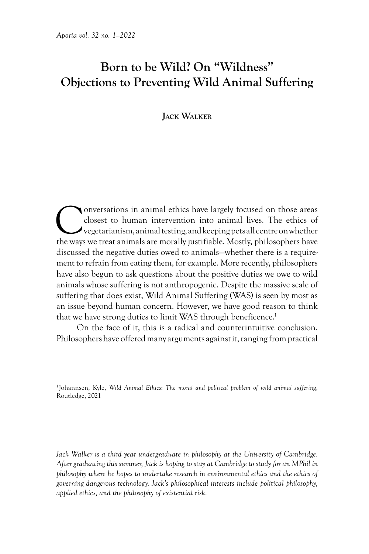# **Born to be Wild? On "Wildness" Objections to Preventing Wild Animal Suffering**

# **Jack Walker**

**Conversations in animal ethics have largely focused on those areas** closest to human intervention into animal lives. The ethics of vegetarianism, animal testing, and keeping pets all centre on whether the wavs we treat an closest to human intervention into animal lives. The ethics of  $\rightarrow$  vegetarianism, animal testing, and keeping pets all centre on whether the ways we treat animals are morally justifiable. Mostly, philosophers have discussed the negative duties owed to animals—whether there is a requirement to refrain from eating them, for example. More recently, philosophers have also begun to ask questions about the positive duties we owe to wild animals whose suffering is not anthropogenic. Despite the massive scale of suffering that does exist, Wild Animal Suffering (WAS) is seen by most as an issue beyond human concern. However, we have good reason to think that we have strong duties to limit WAS through beneficence.<sup>1</sup>

On the face of it, this is a radical and counterintuitive conclusion. Philosophers have offered many arguments against it, ranging from practical

1Johannsen, Kyle, *Wild Animal Ethics*: *The moral and political problem of wild animal sufferin*g, Routledge, 2021

*Jack Walker is a third year undergraduate in philosophy at the University of Cambridge. After graduating this summer, Jack is hoping to stay at Cambridge to study for an MPhil in philosophy where he hopes to undertake research in environmental ethics and the ethics of governing dangerous technology. Jack's philosophical interests include political philosophy, applied ethics, and the philosophy of existential risk.*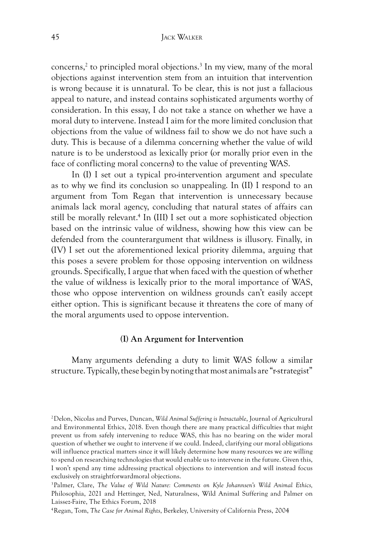concerns,<sup>2</sup> to principled moral objections.<sup>3</sup> In my view, many of the moral objections against intervention stem from an intuition that intervention is wrong because it is unnatural. To be clear, this is not just a fallacious appeal to nature, and instead contains sophisticated arguments worthy of consideration. In this essay, I do not take a stance on whether we have a moral duty to intervene. Instead I aim for the more limited conclusion that objections from the value of wildness fail to show we do not have such a duty. This is because of a dilemma concerning whether the value of wild nature is to be understood as lexically prior (or morally prior even in the face of conflicting moral concerns) to the value of preventing WAS.

In (I) I set out a typical pro-intervention argument and speculate as to why we find its conclusion so unappealing. In (II) I respond to an argument from Tom Regan that intervention is unnecessary because animals lack moral agency, concluding that natural states of affairs can still be morally relevant.<sup>4</sup> In (III) I set out a more sophisticated objection based on the intrinsic value of wildness, showing how this view can be defended from the counterargument that wildness is illusory. Finally, in (IV) I set out the aforementioned lexical priority dilemma, arguing that this poses a severe problem for those opposing intervention on wildness grounds. Specifically, I argue that when faced with the question of whether the value of wildness is lexically prior to the moral importance of WAS, those who oppose intervention on wildness grounds can't easily accept either option. This is significant because it threatens the core of many of the moral arguments used to oppose intervention.

# **(I) An Argument for Intervention**

Many arguments defending a duty to limit WAS follow a similar structure. Typically, these begin by noting that most animals are "r-strategist"

<sup>2</sup>Delon, Nicolas and Purves, Duncan, *Wild Animal Suffering is Intractable*, Journal of Agricultural and Environmental Ethics, 2018. Even though there are many practical difficulties that might prevent us from safely intervening to reduce WAS, this has no bearing on the wider moral question of whether we ought to intervene if we could. Indeed, clarifying our moral obligations will influence practical matters since it will likely determine how many resources we are willing to spend on researching technologies that would enable us to intervene in the future. Given this, I won't spend any time addressing practical objections to intervention and will instead focus exclusively on straightforwardmoral objections.

<sup>3</sup>Palmer, Clare, *The Value of Wild Nature: Comments on Kyle Johannsen's Wild Animal Ethics,*  Philosophia, 2021 and Hettinger, Ned, Naturalness, Wild Animal Suffering and Palmer on Laissez-Faire, The Ethics Forum, 2018

<sup>4</sup>Regan, Tom, *The Case for Animal Rights*, Berkeley, University of California Press, 2004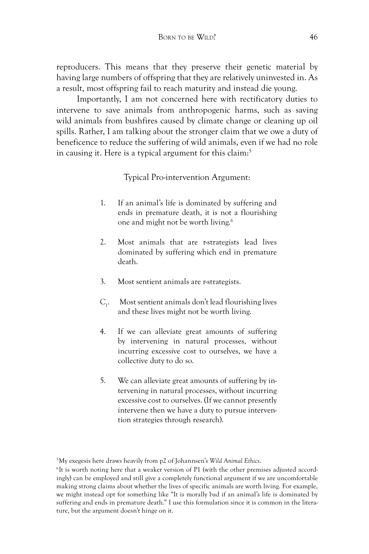reproducers. This means that they preserve their genetic material by having large numbers of offspring that they are relatively uninvested in. As a result, most offspring fail to reach maturity and instead die young.

Importantly, I am not concerned here with rectificatory duties to intervene to save animals from anthropogenic harms, such as saving wild animals from bushfires caused by climate change or cleaning up oil spills. Rather, I am talking about the stronger claim that we owe a duty of beneficence to reduce the suffering of wild animals, even if we had no role in causing it. Here is a typical argument for this claim:<sup>5</sup>

Typical Pro-intervention Argument:

- 1. If an animal's life is dominated by suffering and ends in premature death, it is not a flourishing one and might not be worth living.6
- 2. Most animals that are r-strategists lead lives dominated by suffering which end in premature death.
- 3. Most sentient animals are r-strategists.
- $C_{1}$ . . Most sentient animals don't lead flourishing lives and these lives might not be worth living.
- 4. If we can alleviate great amounts of suffering by intervening in natural processes, without incurring excessive cost to ourselves, we have a collective duty to do so.
- 5. We can alleviate great amounts of suffering by intervening in natural processes, without incurring excessive cost to ourselves. (If we cannot presently intervene then we have a duty to pursue intervention strategies through research).

5My exegesis here draws heavily from p2 of Johannsen's *Wild Animal Ethics*.

<sup>6</sup>It is worth noting here that a weaker version of P1 (with the other premises adjusted accordingly) can be employed and still give a completely functional argument if we are uncomfortable making strong claims about whether the lives of specific animals are worth living. For example, we might instead opt for something like "It is morally bad if an animal's life is dominated by suffering and ends in premature death." I use this formulation since it is common in the literature, but the argument doesn't hinge on it.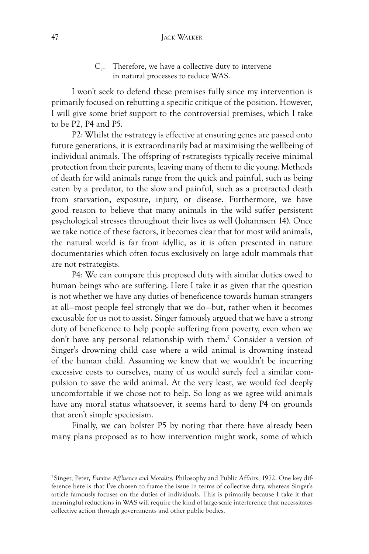#### **47** JACK WALKER

 $C_2$ . Therefore, we have a collective duty to intervene in natural processes to reduce WAS.

I won't seek to defend these premises fully since my intervention is primarily focused on rebutting a specific critique of the position. However, I will give some brief support to the controversial premises, which I take to be P2, P4 and P5.

P2: Whilst the r-strategy is effective at ensuring genes are passed onto future generations, it is extraordinarily bad at maximising the wellbeing of individual animals. The offspring of r-strategists typically receive minimal protection from their parents, leaving many of them to die young. Methods of death for wild animals range from the quick and painful, such as being eaten by a predator, to the slow and painful, such as a protracted death from starvation, exposure, injury, or disease. Furthermore, we have good reason to believe that many animals in the wild suffer persistent psychological stresses throughout their lives as well (Johannsen 14). Once we take notice of these factors, it becomes clear that for most wild animals, the natural world is far from idyllic, as it is often presented in nature documentaries which often focus exclusively on large adult mammals that are not r-strategists.

P4: We can compare this proposed duty with similar duties owed to human beings who are suffering. Here I take it as given that the question is not whether we have any duties of beneficence towards human strangers at all—most people feel strongly that we do—but, rather when it becomes excusable for us not to assist. Singer famously argued that we have a strong duty of beneficence to help people suffering from poverty, even when we don't have any personal relationship with them.7 Consider a version of Singer's drowning child case where a wild animal is drowning instead of the human child. Assuming we knew that we wouldn't be incurring excessive costs to ourselves, many of us would surely feel a similar compulsion to save the wild animal. At the very least, we would feel deeply uncomfortable if we chose not to help. So long as we agree wild animals have any moral status whatsoever, it seems hard to deny P4 on grounds that aren't simple speciesism.

Finally, we can bolster P5 by noting that there have already been many plans proposed as to how intervention might work, some of which

<sup>7</sup>Singer, Peter, *Famine Affluence and Morality*, Philosophy and Public Affairs, 1972. One key difference here is that I've chosen to frame the issue in terms of collective duty, whereas Singer's article famously focuses on the duties of individuals. This is primarily because I take it that meaningful reductions in WAS will require the kind of large-scale interference that necessitates collective action through governments and other public bodies.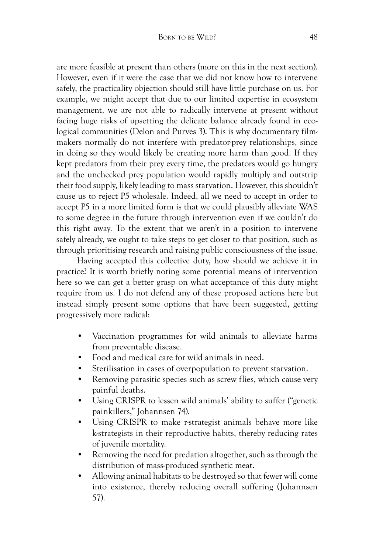are more feasible at present than others (more on this in the next section). However, even if it were the case that we did not know how to intervene safely, the practicality objection should still have little purchase on us. For example, we might accept that due to our limited expertise in ecosystem management, we are not able to radically intervene at present without facing huge risks of upsetting the delicate balance already found in ecological communities (Delon and Purves 3). This is why documentary filmmakers normally do not interfere with predator-prey relationships, since in doing so they would likely be creating more harm than good. If they kept predators from their prey every time, the predators would go hungry and the unchecked prey population would rapidly multiply and outstrip their food supply, likely leading to mass starvation. However, this shouldn't cause us to reject P5 wholesale. Indeed, all we need to accept in order to accept P5 in a more limited form is that we could plausibly alleviate WAS to some degree in the future through intervention even if we couldn't do this right away. To the extent that we aren't in a position to intervene safely already, we ought to take steps to get closer to that position, such as through prioritising research and raising public consciousness of the issue.

Having accepted this collective duty, how should we achieve it in practice? It is worth briefly noting some potential means of intervention here so we can get a better grasp on what acceptance of this duty might require from us. I do not defend any of these proposed actions here but instead simply present some options that have been suggested, getting progressively more radical:

- Vaccination programmes for wild animals to alleviate harms from preventable disease.
- Food and medical care for wild animals in need.
- Sterilisation in cases of overpopulation to prevent starvation.
- Removing parasitic species such as screw flies, which cause very painful deaths.
- Using CRISPR to lessen wild animals' ability to suffer ("genetic painkillers," Johannsen 74).
- Using CRISPR to make r-strategist animals behave more like k-strategists in their reproductive habits, thereby reducing rates of juvenile mortality.
- Removing the need for predation altogether, such as through the distribution of mass-produced synthetic meat.
- Allowing animal habitats to be destroyed so that fewer will come into existence, thereby reducing overall suffering (Johannsen 57).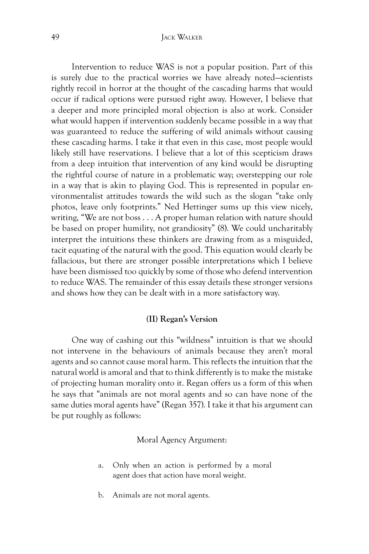Intervention to reduce WAS is not a popular position. Part of this is surely due to the practical worries we have already noted—scientists rightly recoil in horror at the thought of the cascading harms that would occur if radical options were pursued right away. However, I believe that a deeper and more principled moral objection is also at work. Consider what would happen if intervention suddenly became possible in a way that was guaranteed to reduce the suffering of wild animals without causing these cascading harms. I take it that even in this case, most people would likely still have reservations. I believe that a lot of this scepticism draws from a deep intuition that intervention of any kind would be disrupting the rightful course of nature in a problematic way; overstepping our role in a way that is akin to playing God. This is represented in popular environmentalist attitudes towards the wild such as the slogan "take only photos, leave only footprints." Ned Hettinger sums up this view nicely, writing, "We are not boss . . . A proper human relation with nature should be based on proper humility, not grandiosity" (8). We could uncharitably interpret the intuitions these thinkers are drawing from as a misguided, tacit equating of the natural with the good. This equation would clearly be fallacious, but there are stronger possible interpretations which I believe have been dismissed too quickly by some of those who defend intervention to reduce WAS. The remainder of this essay details these stronger versions and shows how they can be dealt with in a more satisfactory way.

#### **(II) Regan's Version**

One way of cashing out this "wildness" intuition is that we should not intervene in the behaviours of animals because they aren't moral agents and so cannot cause moral harm. This reflects the intuition that the natural world is amoral and that to think differently is to make the mistake of projecting human morality onto it. Regan offers us a form of this when he says that "animals are not moral agents and so can have none of the same duties moral agents have" (Regan 357). I take it that his argument can be put roughly as follows:

#### Moral Agency Argument:

- a. Only when an action is performed by a moral agent does that action have moral weight.
- b. Animals are not moral agents.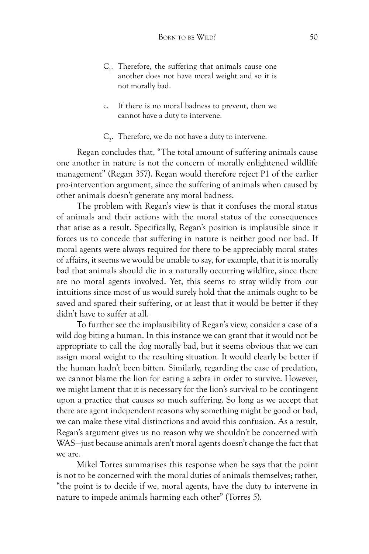- $C_1$ . Therefore, the suffering that animals cause one another does not have moral weight and so it is not morally bad.
- c. If there is no moral badness to prevent, then we cannot have a duty to intervene.
- $C_2$ . Therefore, we do not have a duty to intervene.

Regan concludes that, "The total amount of suffering animals cause one another in nature is not the concern of morally enlightened wildlife management" (Regan 357). Regan would therefore reject P1 of the earlier pro-intervention argument, since the suffering of animals when caused by other animals doesn't generate any moral badness.

The problem with Regan's view is that it confuses the moral status of animals and their actions with the moral status of the consequences that arise as a result. Specifically, Regan's position is implausible since it forces us to concede that suffering in nature is neither good nor bad. If moral agents were always required for there to be appreciably moral states of affairs, it seems we would be unable to say, for example, that it is morally bad that animals should die in a naturally occurring wildfire, since there are no moral agents involved. Yet, this seems to stray wildly from our intuitions since most of us would surely hold that the animals ought to be saved and spared their suffering, or at least that it would be better if they didn't have to suffer at all.

To further see the implausibility of Regan's view, consider a case of a wild dog biting a human. In this instance we can grant that it would not be appropriate to call the dog morally bad, but it seems obvious that we can assign moral weight to the resulting situation. It would clearly be better if the human hadn't been bitten. Similarly, regarding the case of predation, we cannot blame the lion for eating a zebra in order to survive. However, we might lament that it is necessary for the lion's survival to be contingent upon a practice that causes so much suffering. So long as we accept that there are agent independent reasons why something might be good or bad, we can make these vital distinctions and avoid this confusion. As a result, Regan's argument gives us no reason why we shouldn't be concerned with WAS—just because animals aren't moral agents doesn't change the fact that we are.

Mikel Torres summarises this response when he says that the point is not to be concerned with the moral duties of animals themselves; rather, "the point is to decide if we, moral agents, have the duty to intervene in nature to impede animals harming each other" (Torres 5).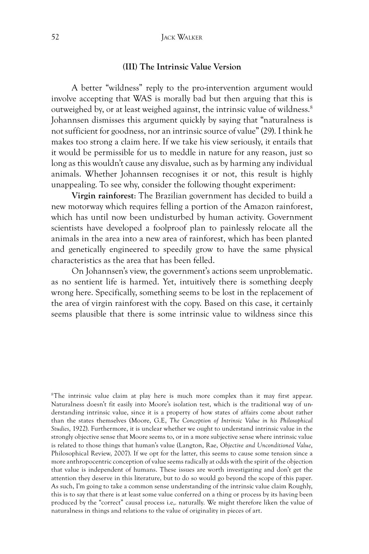#### **(III) The Intrinsic Value Version**

A better "wildness" reply to the pro-intervention argument would involve accepting that WAS is morally bad but then arguing that this is outweighed by, or at least weighed against, the intrinsic value of wildness.8 Johannsen dismisses this argument quickly by saying that "naturalness is not sufficient for goodness, nor an intrinsic source of value" (29). I think he makes too strong a claim here. If we take his view seriously, it entails that it would be permissible for us to meddle in nature for any reason, just so long as this wouldn't cause any disvalue, such as by harming any individual animals. Whether Johannsen recognises it or not, this result is highly unappealing. To see why, consider the following thought experiment:

**Virgin rainforest**: The Brazilian government has decided to build a new motorway which requires felling a portion of the Amazon rainforest, which has until now been undisturbed by human activity. Government scientists have developed a foolproof plan to painlessly relocate all the animals in the area into a new area of rainforest, which has been planted and genetically engineered to speedily grow to have the same physical characteristics as the area that has been felled.

On Johannsen's view, the government's actions seem unproblematic. as no sentient life is harmed. Yet, intuitively there is something deeply wrong here. Specifically, something seems to be lost in the replacement of the area of virgin rainforest with the copy. Based on this case, it certainly seems plausible that there is some intrinsic value to wildness since this

8The intrinsic value claim at play here is much more complex than it may first appear. Naturalness doesn't fit easily into Moore's isolation test, which is the traditional way of understanding intrinsic value, since it is a property of how states of affairs come about rather than the states themselves (Moore, G.E, *The Conception of Intrinsic Value in his Philosophical Studies*, 1922). Furthermore, it is unclear whether we ought to understand intrinsic value in the strongly objective sense that Moore seems to, or in a more subjective sense where intrinsic value is related to those things that human's value (Langton, Rae, *Objective and Unconditioned Value*, Philosophical Review, 2007). If we opt for the latter, this seems to cause some tension since a more anthropocentric conception of value seems radically at odds with the spirit of the objection that value is independent of humans. These issues are worth investigating and don't get the attention they deserve in this literature, but to do so would go beyond the scope of this paper. As such, I'm going to take a common sense understanding of the intrinsic value claim Roughly, this is to say that there is at least some value conferred on a thing or process by its having been produced by the "correct" causal process i.e,. naturally. We might therefore liken the value of naturalness in things and relations to the value of originality in pieces of art.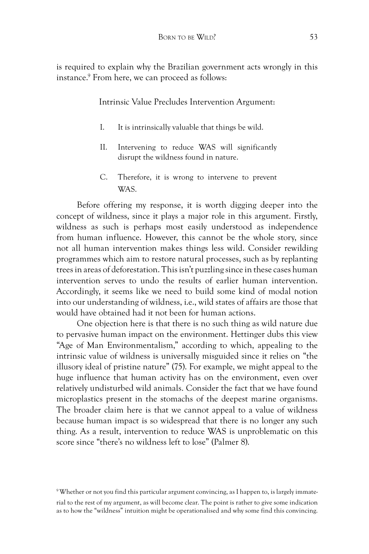is required to explain why the Brazilian government acts wrongly in this instance.9 From here, we can proceed as follows:

Intrinsic Value Precludes Intervention Argument:

- I. It is intrinsically valuable that things be wild.
- II. Intervening to reduce WAS will significantly disrupt the wildness found in nature.
- C. Therefore, it is wrong to intervene to prevent WAS.

Before offering my response, it is worth digging deeper into the concept of wildness, since it plays a major role in this argument. Firstly, wildness as such is perhaps most easily understood as independence from human influence. However, this cannot be the whole story, since not all human intervention makes things less wild. Consider rewilding programmes which aim to restore natural processes, such as by replanting trees in areas of deforestation. This isn't puzzling since in these cases human intervention serves to undo the results of earlier human intervention. Accordingly, it seems like we need to build some kind of modal notion into our understanding of wildness, i.e., wild states of affairs are those that would have obtained had it not been for human actions.

One objection here is that there is no such thing as wild nature due to pervasive human impact on the environment. Hettinger dubs this view "Age of Man Environmentalism," according to which, appealing to the intrinsic value of wildness is universally misguided since it relies on "the illusory ideal of pristine nature" (75). For example, we might appeal to the huge influence that human activity has on the environment, even over relatively undisturbed wild animals. Consider the fact that we have found microplastics present in the stomachs of the deepest marine organisms. The broader claim here is that we cannot appeal to a value of wildness because human impact is so widespread that there is no longer any such thing. As a result, intervention to reduce WAS is unproblematic on this score since "there's no wildness left to lose" (Palmer 8).

<sup>9</sup> Whether or not you find this particular argument convincing, as I happen to, is largely immaterial to the rest of my argument, as will become clear. The point is rather to give some indication as to how the "wildness" intuition might be operationalised and why some find this convincing.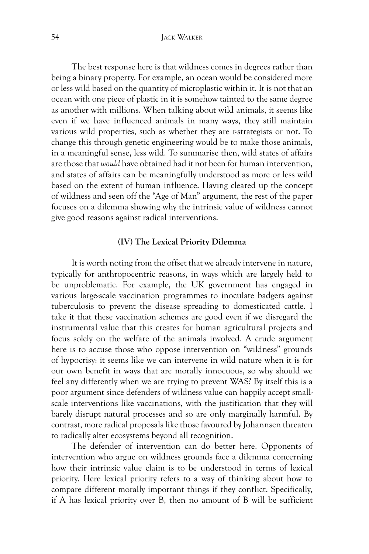The best response here is that wildness comes in degrees rather than being a binary property. For example, an ocean would be considered more or less wild based on the quantity of microplastic within it. It is not that an ocean with one piece of plastic in it is somehow tainted to the same degree as another with millions. When talking about wild animals, it seems like even if we have influenced animals in many ways, they still maintain various wild properties, such as whether they are r-strategists or not. To change this through genetic engineering would be to make those animals, in a meaningful sense, less wild. To summarise then, wild states of affairs are those that *would* have obtained had it not been for human intervention, and states of affairs can be meaningfully understood as more or less wild based on the extent of human influence. Having cleared up the concept of wildness and seen off the "Age of Man" argument, the rest of the paper focuses on a dilemma showing why the intrinsic value of wildness cannot give good reasons against radical interventions.

## **(IV) The Lexical Priority Dilemma**

It is worth noting from the offset that we already intervene in nature, typically for anthropocentric reasons, in ways which are largely held to be unproblematic. For example, the UK government has engaged in various large-scale vaccination programmes to inoculate badgers against tuberculosis to prevent the disease spreading to domesticated cattle. I take it that these vaccination schemes are good even if we disregard the instrumental value that this creates for human agricultural projects and focus solely on the welfare of the animals involved. A crude argument here is to accuse those who oppose intervention on "wildness" grounds of hypocrisy: it seems like we can intervene in wild nature when it is for our own benefit in ways that are morally innocuous, so why should we feel any differently when we are trying to prevent WAS? By itself this is a poor argument since defenders of wildness value can happily accept smallscale interventions like vaccinations, with the justification that they will barely disrupt natural processes and so are only marginally harmful. By contrast, more radical proposals like those favoured by Johannsen threaten to radically alter ecosystems beyond all recognition.

The defender of intervention can do better here. Opponents of intervention who argue on wildness grounds face a dilemma concerning how their intrinsic value claim is to be understood in terms of lexical priority. Here lexical priority refers to a way of thinking about how to compare different morally important things if they conflict. Specifically, if A has lexical priority over B, then no amount of B will be sufficient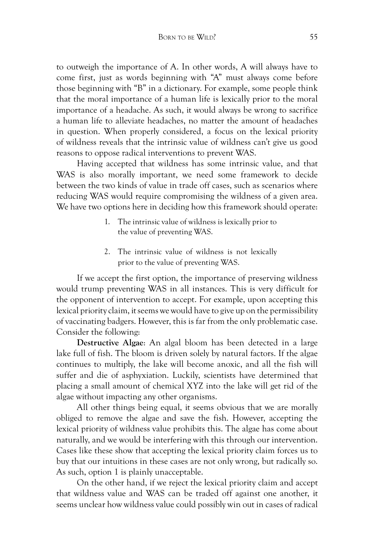to outweigh the importance of A. In other words, A will always have to come first, just as words beginning with "A" must always come before those beginning with "B" in a dictionary. For example, some people think that the moral importance of a human life is lexically prior to the moral importance of a headache. As such, it would always be wrong to sacrifice a human life to alleviate headaches, no matter the amount of headaches in question. When properly considered, a focus on the lexical priority of wildness reveals that the intrinsic value of wildness can't give us good reasons to oppose radical interventions to prevent WAS.

Having accepted that wildness has some intrinsic value, and that WAS is also morally important, we need some framework to decide between the two kinds of value in trade off cases, such as scenarios where reducing WAS would require compromising the wildness of a given area. We have two options here in deciding how this framework should operate:

- 1. The intrinsic value of wildness is lexically prior to the value of preventing WAS.
- 2. The intrinsic value of wildness is not lexically prior to the value of preventing WAS.

If we accept the first option, the importance of preserving wildness would trump preventing WAS in all instances. This is very difficult for the opponent of intervention to accept. For example, upon accepting this lexical priority claim, it seems we would have to give up on the permissibility of vaccinating badgers. However, this is far from the only problematic case. Consider the following:

**Destructive Algae**: An algal bloom has been detected in a large lake full of fish. The bloom is driven solely by natural factors. If the algae continues to multiply, the lake will become anoxic, and all the fish will suffer and die of asphyxiation. Luckily, scientists have determined that placing a small amount of chemical XYZ into the lake will get rid of the algae without impacting any other organisms.

All other things being equal, it seems obvious that we are morally obliged to remove the algae and save the fish. However, accepting the lexical priority of wildness value prohibits this. The algae has come about naturally, and we would be interfering with this through our intervention. Cases like these show that accepting the lexical priority claim forces us to buy that our intuitions in these cases are not only wrong, but radically so. As such, option 1 is plainly unacceptable.

On the other hand, if we reject the lexical priority claim and accept that wildness value and WAS can be traded off against one another, it seems unclear how wildness value could possibly win out in cases of radical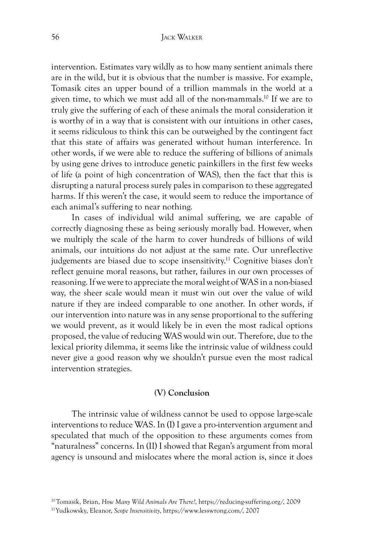intervention. Estimates vary wildly as to how many sentient animals there are in the wild, but it is obvious that the number is massive. For example, Tomasik cites an upper bound of a trillion mammals in the world at a given time, to which we must add all of the non-mammals.10 If we are to truly give the suffering of each of these animals the moral consideration it is worthy of in a way that is consistent with our intuitions in other cases, it seems ridiculous to think this can be outweighed by the contingent fact that this state of affairs was generated without human interference. In other words, if we were able to reduce the suffering of billions of animals by using gene drives to introduce genetic painkillers in the first few weeks of life (a point of high concentration of WAS), then the fact that this is disrupting a natural process surely pales in comparison to these aggregated harms. If this weren't the case, it would seem to reduce the importance of each animal's suffering to near nothing.

In cases of individual wild animal suffering, we are capable of correctly diagnosing these as being seriously morally bad. However, when we multiply the scale of the harm to cover hundreds of billions of wild animals, our intuitions do not adjust at the same rate. Our unreflective judgements are biased due to scope insensitivity.<sup>11</sup> Cognitive biases don't reflect genuine moral reasons, but rather, failures in our own processes of reasoning. If we were to appreciate the moral weight of WAS in a non-biased way, the sheer scale would mean it must win out over the value of wild nature if they are indeed comparable to one another. In other words, if our intervention into nature was in any sense proportional to the suffering we would prevent, as it would likely be in even the most radical options proposed, the value of reducing WAS would win out. Therefore, due to the lexical priority dilemma, it seems like the intrinsic value of wildness could never give a good reason why we shouldn't pursue even the most radical intervention strategies.

# **(V) Conclusion**

The intrinsic value of wildness cannot be used to oppose large-scale interventions to reduce WAS. In (I) I gave a pro-intervention argument and speculated that much of the opposition to these arguments comes from "naturalness" concerns. In (II) I showed that Regan's argument from moral agency is unsound and mislocates where the moral action is, since it does

<sup>10</sup>Tomasik, Brian, *How Many Wild Animals Are There?*, https://reducing-suffering.org/, 2009

<sup>11</sup>Yudkowsky, Eleanor, *Scope Insensitivity*, https://www.lesswrong.com/, 2007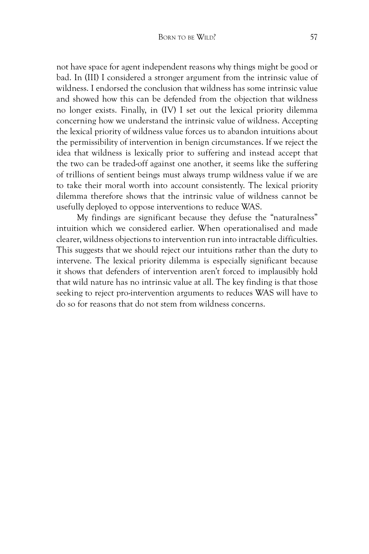not have space for agent independent reasons why things might be good or bad. In (III) I considered a stronger argument from the intrinsic value of wildness. I endorsed the conclusion that wildness has some intrinsic value and showed how this can be defended from the objection that wildness no longer exists. Finally, in (IV) I set out the lexical priority dilemma concerning how we understand the intrinsic value of wildness. Accepting the lexical priority of wildness value forces us to abandon intuitions about the permissibility of intervention in benign circumstances. If we reject the idea that wildness is lexically prior to suffering and instead accept that the two can be traded-off against one another, it seems like the suffering of trillions of sentient beings must always trump wildness value if we are to take their moral worth into account consistently. The lexical priority dilemma therefore shows that the intrinsic value of wildness cannot be usefully deployed to oppose interventions to reduce WAS.

My findings are significant because they defuse the "naturalness" intuition which we considered earlier. When operationalised and made clearer, wildness objections to intervention run into intractable difficulties. This suggests that we should reject our intuitions rather than the duty to intervene. The lexical priority dilemma is especially significant because it shows that defenders of intervention aren't forced to implausibly hold that wild nature has no intrinsic value at all. The key finding is that those seeking to reject pro-intervention arguments to reduces WAS will have to do so for reasons that do not stem from wildness concerns.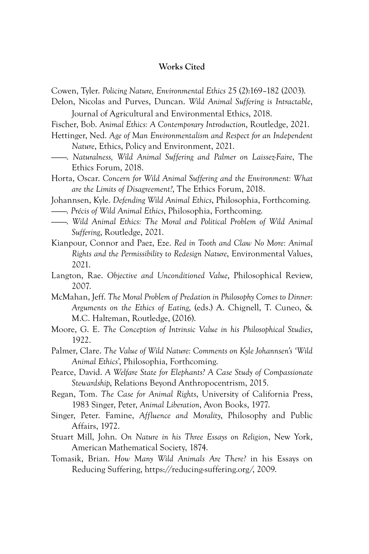# **Works Cited**

Cowen, Tyler. *Policing Nature, Environmental Ethics* 25 (2):169–182 (2003).

Delon, Nicolas and Purves, Duncan. *Wild Animal Suffering is Intractable*, Journal of Agricultural and Environmental Ethics, 2018.

Fischer, Bob. *Animal Ethics: A Contemporary Introduction*, Routledge, 2021.

Hettinger, Ned. *Age of Man Environmentalism and Respect for an Independent Nature*, Ethics, Policy and Environment, 2021.

———. *Naturalness, Wild Animal Suffering and Palmer on Laissez-Faire*, The Ethics Forum, 2018.

Horta, Oscar. *Concern for Wild Animal Suffering and the Environment: What are the Limits of Disagreement?*, The Ethics Forum, 2018.

- Johannsen, Kyle. *Defending Wild Animal Ethics*, Philosophia, Forthcoming.
- ———. *Précis of Wild Animal Ethics*, Philosophia, Forthcoming.
- ———. *Wild Animal Ethics: The Moral and Political Problem of Wild Animal Suffering*, Routledge, 2021.

Kianpour, Connor and Paez, Eze. *Red in Tooth and Claw No More: Animal Rights and the Permissibility to Redesign Nature*, Environmental Values, 2021.

Langton, Rae. *Objective and Unconditioned Value*, Philosophical Review, 2007.

McMahan, Jeff. *The Moral Problem of Predation in Philosophy Comes to Dinner: Arguments on the Ethics of Eating*, (eds.) A. Chignell, T. Cuneo, & M.C. Halteman, Routledge, (2016).

- Moore, G. E. *The Conception of Intrinsic Value in his Philosophical Studies*, 1922.
- Palmer, Clare. *The Value of Wild Nature: Comments on Kyle Johannsen's 'Wild Animal Ethics'*, Philosophia, Forthcoming.
- Pearce, David. *A Welfare State for Elephants? A Case Study of Compassionate Stewardship*, Relations Beyond Anthropocentrism, 2015.
- Regan, Tom. *The Case for Animal Rights*, University of California Press, 1983 Singer, Peter, *Animal Liberation*, Avon Books, 1977.
- Singer, Peter. Famine, *Affluence and Morality*, Philosophy and Public Affairs, 1972.
- Stuart Mill, John. *On Nature in his Three Essays on Religion*, New York, American Mathematical Society, 1874.
- Tomasik, Brian. *How Many Wild Animals Are There?* in his Essays on Reducing Suffering, https://reducing-suffering.org/, 2009.